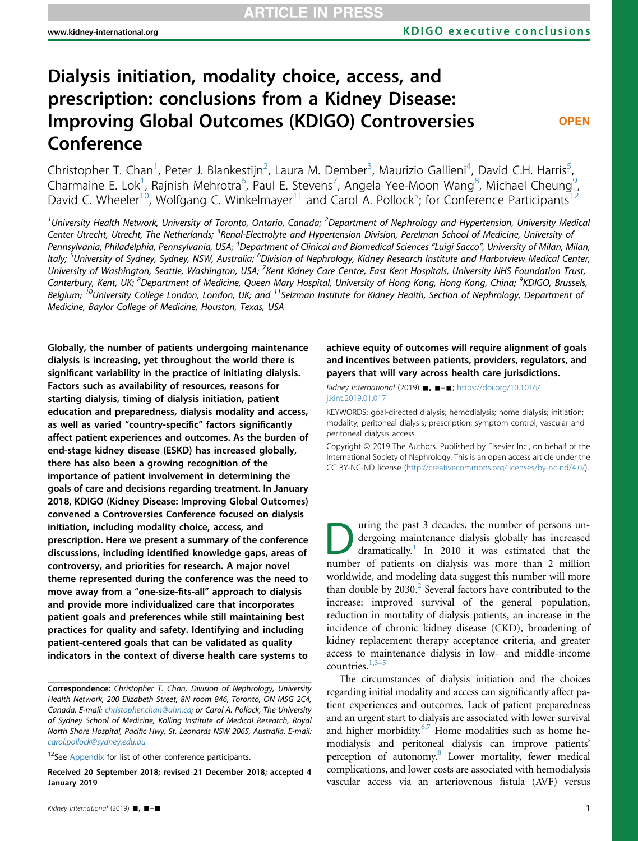# Dialysis initiation, modality choice, access, and prescription: conclusions from a Kidney Disease: Improving Global Outcomes (KDIGO) Controversies Conference

**OPEN** 

Christopher T. Chan<sup>1</sup>, Peter J. Blankestijn<sup>2</sup>, Laura M. Dember<sup>3</sup>, Maurizio Gallieni<sup>4</sup>, David C.H. Harris<sup>5</sup> , Charmaine E. Lok<sup>1</sup>, Rajnish Mehrotra<sup>6</sup>, Paul E. Stevens<sup>7</sup>, Angela Yee-Moon Wang<sup>8</sup>, Michael Cheung<sup>9</sup> , David C. Wheeler<sup>10</sup>, Wolfgang C. Winkelmayer<sup>11</sup> and Carol A. Pollock<sup>5</sup>; for Conference Participants<sup>12</sup>

 $^1$ University Health Network, University of Toronto, Ontario, Canada; <sup>2</sup>Department of Nephrology and Hypertension, University Medical Center Utrecht, Utrecht, The Netherlands; <sup>3</sup>Renal-Electrolyte and Hypertension Division, Perelman School of Medicine, University of Pennsylvania, Philadelphia, Pennsylvania, USA; <sup>4</sup>Department of Clinical and Biomedical Sciences "Luigi Sacco", University of Milan, Milan, Italy; <sup>5</sup>University of Sydney, Sydney, NSW, Australia; <sup>6</sup>Division of Nephrology, Kidney Research Institute and Harborview Medical Center, University of Washington, Seattle, Washington, USA; <sup>7</sup>Kent Kidney Care Centre, East Kent Hospitals, University NHS Foundation Trust, Canterbury, Kent, UK; <sup>8</sup>Department of Medicine, Queen Mary Hospital, University of Hong Kong, Hong Kong, China; <sup>9</sup>KDIGO, Brussels, Belgium; <sup>10</sup>University College London, London, UK; and <sup>11</sup>Selzman Institute for Kidney Health, Section of Nephrology, Department of Medicine, Baylor College of Medicine, Houston, Texas, USA

Globally, the number of patients undergoing maintenance dialysis is increasing, yet throughout the world there is significant variability in the practice of initiating dialysis. Factors such as availability of resources, reasons for starting dialysis, timing of dialysis initiation, patient education and preparedness, dialysis modality and access, as well as varied "country-specific" factors significantly affect patient experiences and outcomes. As the burden of end-stage kidney disease (ESKD) has increased globally, there has also been a growing recognition of the importance of patient involvement in determining the goals of care and decisions regarding treatment. In January 2018, KDIGO (Kidney Disease: Improving Global Outcomes) convened a Controversies Conference focused on dialysis initiation, including modality choice, access, and prescription. Here we present a summary of the conference discussions, including identified knowledge gaps, areas of controversy, and priorities for research. A major novel theme represented during the conference was the need to move away from a "one-size-fits-all" approach to dialysis and provide more individualized care that incorporates patient goals and preferences while still maintaining best practices for quality and safety. Identifying and including patient-centered goals that can be validated as quality indicators in the context of diverse health care systems to

<sup>12</sup>See [Appendix](#page-8-0) for list of other conference participants.

Received 20 September 2018; revised 21 December 2018; accepted 4 January 2019

# achieve equity of outcomes will require alignment of goals and incentives between patients, providers, regulators, and payers that will vary across health care jurisdictions.

Kidney International (2019)  $\blacksquare$ ,  $\blacksquare$ - $\blacksquare$ ; [https://doi.org/10.1016/](https://doi.org/10.1016/j.kint.2019.01.017) [j.kint.2019.01.017](https://doi.org/10.1016/j.kint.2019.01.017)

KEYWORDS: goal-directed dialysis; hemodialysis; home dialysis; initiation; modality; peritoneal dialysis; prescription; symptom control; vascular and peritoneal dialysis access

Copyright @ 2019 The Authors. Published by Elsevier Inc., on behalf of the International Society of Nephrology. This is an open access article under the CC BY-NC-ND license [\(http://creativecommons.org/licenses/by-nc-nd/4.0/\)](http://creativecommons.org/licenses/by-nc-nd/4.0/).

Turing the past 3 decades, the number of persons undergoing maintenance dialysis globally has increased dramatically.<sup>[1](#page-9-0)</sup> In 2010 it was estimated that the number of patients on dialysis was more than 2 million dergoing maintenance dialysis globally has increased number of patients on dialysis was more than 2 million worldwide, and modeling data suggest this number will more than double by  $2030<sup>2</sup>$  $2030<sup>2</sup>$  Several factors have contributed to the increase: improved survival of the general population, reduction in mortality of dialysis patients, an increase in the incidence of chronic kidney disease (CKD), broadening of kidney replacement therapy acceptance criteria, and greater access to maintenance dialysis in low- and middle-income countries.<sup>[1,3](#page-9-0)–5</sup>

The circumstances of dialysis initiation and the choices regarding initial modality and access can significantly affect patient experiences and outcomes. Lack of patient preparedness and an urgent start to dialysis are associated with lower survival and higher morbidity.<sup>6,7</sup> Home modalities such as home hemodialysis and peritoneal dialysis can improve patients' perception of autonomy.<sup>8</sup> Lower mortality, fewer medical complications, and lower costs are associated with hemodialysis vascular access via an arteriovenous fistula (AVF) versus

Correspondence: Christopher T. Chan, Division of Nephrology, University Health Network, 200 Elizabeth Street, 8N room 846, Toronto, ON M5G 2C4, Canada. E-mail: [christopher.chan@uhn.ca](mailto:christopher.chan@uhn.ca); or Carol A. Pollock, The University of Sydney School of Medicine, Kolling Institute of Medical Research, Royal North Shore Hospital, Pacific Hwy, St. Leonards NSW 2065, Australia. E-mail: [carol.pollock@sydney.edu.au](mailto:carol.pollock@sydney.edu.au)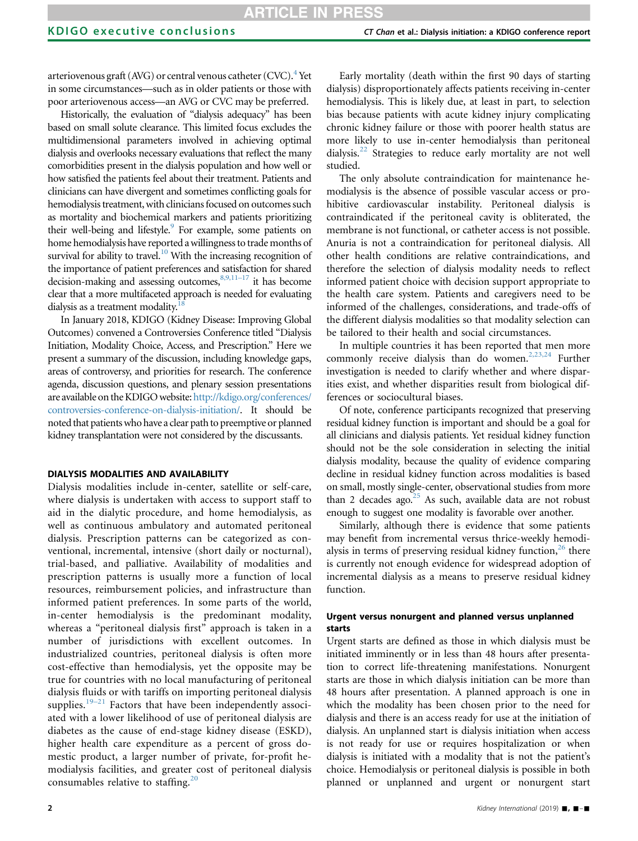# KDIGO executive conclusions examples and CT Chan et al.: Dialysis initiation: a KDIGO conference report

arteriovenous graft (AVG) or central venous catheter (CVC).<sup>4</sup> Yet in some circumstances—such as in older patients or those with poor arteriovenous access—an AVG or CVC may be preferred.

Historically, the evaluation of "dialysis adequacy" has been based on small solute clearance. This limited focus excludes the multidimensional parameters involved in achieving optimal dialysis and overlooks necessary evaluations that reflect the many comorbidities present in the dialysis population and how well or how satisfied the patients feel about their treatment. Patients and clinicians can have divergent and sometimes conflicting goals for hemodialysis treatment, with clinicians focused on outcomes such as mortality and biochemical markers and patients prioritizing their well-being and lifestyle.<sup>[9](#page-9-0)</sup> For example, some patients on home hemodialysis have reported awillingness to trade months of survival for ability to travel.<sup>10</sup> With the increasing recognition of the importance of patient preferences and satisfaction for shared decision-making and assessing outcomes,  $8,9,11-17$  it has become clear that a more multifaceted approach is needed for evaluating dialysis as a treatment modality.<sup>1</sup>

In January 2018, KDIGO (Kidney Disease: Improving Global Outcomes) convened a Controversies Conference titled "Dialysis Initiation, Modality Choice, Access, and Prescription." Here we present a summary of the discussion, including knowledge gaps, areas of controversy, and priorities for research. The conference agenda, discussion questions, and plenary session presentations are available on the KDIGO website: [http://kdigo.org/conferences/](http://kdigo.org/conferences/controversies-conference-on-dialysis-initiation/) [controversies-conference-on-dialysis-initiation/](http://kdigo.org/conferences/controversies-conference-on-dialysis-initiation/). It should be noted that patients who have a clear path to preemptive or planned kidney transplantation were not considered by the discussants.

# DIALYSIS MODALITIES AND AVAILABILITY

Dialysis modalities include in-center, satellite or self-care, where dialysis is undertaken with access to support staff to aid in the dialytic procedure, and home hemodialysis, as well as continuous ambulatory and automated peritoneal dialysis. Prescription patterns can be categorized as conventional, incremental, intensive (short daily or nocturnal), trial-based, and palliative. Availability of modalities and prescription patterns is usually more a function of local resources, reimbursement policies, and infrastructure than informed patient preferences. In some parts of the world, in-center hemodialysis is the predominant modality, whereas a "peritoneal dialysis first" approach is taken in a number of jurisdictions with excellent outcomes. In industrialized countries, peritoneal dialysis is often more cost-effective than hemodialysis, yet the opposite may be true for countries with no local manufacturing of peritoneal dialysis fluids or with tariffs on importing peritoneal dialysis supplies. $19-21$  $19-21$  Factors that have been independently associated with a lower likelihood of use of peritoneal dialysis are diabetes as the cause of end-stage kidney disease (ESKD), higher health care expenditure as a percent of gross domestic product, a larger number of private, for-profit hemodialysis facilities, and greater cost of peritoneal dialysis consumables relative to staffing.<sup>[20](#page-9-0)</sup>

Early mortality (death within the first 90 days of starting dialysis) disproportionately affects patients receiving in-center hemodialysis. This is likely due, at least in part, to selection bias because patients with acute kidney injury complicating chronic kidney failure or those with poorer health status are more likely to use in-center hemodialysis than peritoneal dialysis.[22](#page-9-0) Strategies to reduce early mortality are not well studied.

The only absolute contraindication for maintenance hemodialysis is the absence of possible vascular access or prohibitive cardiovascular instability. Peritoneal dialysis is contraindicated if the peritoneal cavity is obliterated, the membrane is not functional, or catheter access is not possible. Anuria is not a contraindication for peritoneal dialysis. All other health conditions are relative contraindications, and therefore the selection of dialysis modality needs to reflect informed patient choice with decision support appropriate to the health care system. Patients and caregivers need to be informed of the challenges, considerations, and trade-offs of the different dialysis modalities so that modality selection can be tailored to their health and social circumstances.

In multiple countries it has been reported that men more commonly receive dialysis than do women.<sup>2,23,24</sup> Further investigation is needed to clarify whether and where disparities exist, and whether disparities result from biological differences or sociocultural biases.

Of note, conference participants recognized that preserving residual kidney function is important and should be a goal for all clinicians and dialysis patients. Yet residual kidney function should not be the sole consideration in selecting the initial dialysis modality, because the quality of evidence comparing decline in residual kidney function across modalities is based on small, mostly single-center, observational studies from more than 2 decades ago. $25$  As such, available data are not robust enough to suggest one modality is favorable over another.

Similarly, although there is evidence that some patients may benefit from incremental versus thrice-weekly hemodialysis in terms of preserving residual kidney function, $26$  there is currently not enough evidence for widespread adoption of incremental dialysis as a means to preserve residual kidney function.

# Urgent versus nonurgent and planned versus unplanned starts

Urgent starts are defined as those in which dialysis must be initiated imminently or in less than 48 hours after presentation to correct life-threatening manifestations. Nonurgent starts are those in which dialysis initiation can be more than 48 hours after presentation. A planned approach is one in which the modality has been chosen prior to the need for dialysis and there is an access ready for use at the initiation of dialysis. An unplanned start is dialysis initiation when access is not ready for use or requires hospitalization or when dialysis is initiated with a modality that is not the patient's choice. Hemodialysis or peritoneal dialysis is possible in both planned or unplanned and urgent or nonurgent start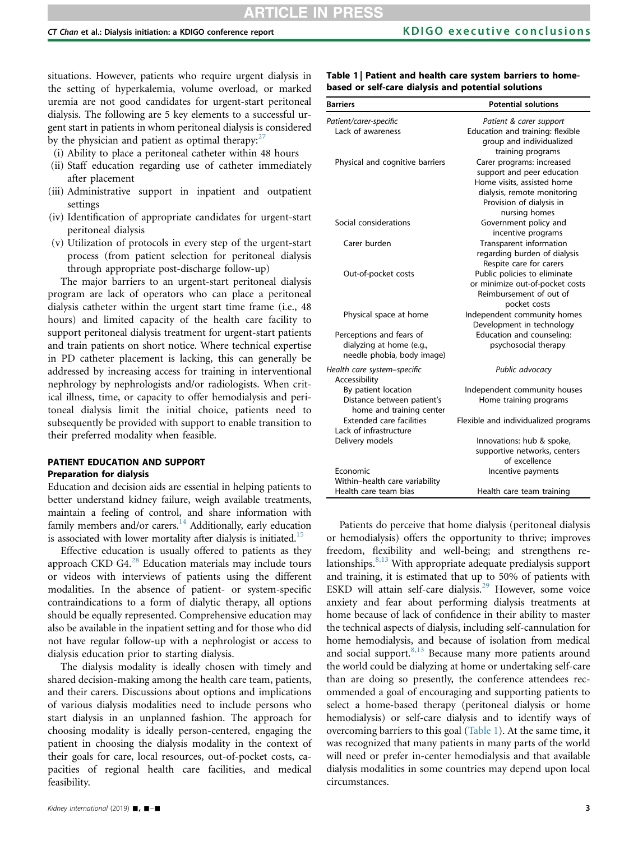situations. However, patients who require urgent dialysis in the setting of hyperkalemia, volume overload, or marked uremia are not good candidates for urgent-start peritoneal dialysis. The following are 5 key elements to a successful urgent start in patients in whom peritoneal dialysis is considered by the physician and patient as optimal therapy: $27$ 

- (i) Ability to place a peritoneal catheter within 48 hours
- (ii) Staff education regarding use of catheter immediately after placement
- (iii) Administrative support in inpatient and outpatient settings
- (iv) Identification of appropriate candidates for urgent-start peritoneal dialysis
- (v) Utilization of protocols in every step of the urgent-start process (from patient selection for peritoneal dialysis through appropriate post-discharge follow-up)

The major barriers to an urgent-start peritoneal dialysis program are lack of operators who can place a peritoneal dialysis catheter within the urgent start time frame (i.e., 48 hours) and limited capacity of the health care facility to support peritoneal dialysis treatment for urgent-start patients and train patients on short notice. Where technical expertise in PD catheter placement is lacking, this can generally be addressed by increasing access for training in interventional nephrology by nephrologists and/or radiologists. When critical illness, time, or capacity to offer hemodialysis and peritoneal dialysis limit the initial choice, patients need to subsequently be provided with support to enable transition to their preferred modality when feasible.

# PATIENT EDUCATION AND SUPPORT

# Preparation for dialysis

Education and decision aids are essential in helping patients to better understand kidney failure, weigh available treatments, maintain a feeling of control, and share information with family members and/or carers. $14$  Additionally, early education is associated with lower mortality after dialysis is initiated.<sup>[15](#page-9-0)</sup>

Effective education is usually offered to patients as they approach CKD G4.<sup>[28](#page-9-0)</sup> Education materials may include tours or videos with interviews of patients using the different modalities. In the absence of patient- or system-specific contraindications to a form of dialytic therapy, all options should be equally represented. Comprehensive education may also be available in the inpatient setting and for those who did not have regular follow-up with a nephrologist or access to dialysis education prior to starting dialysis.

The dialysis modality is ideally chosen with timely and shared decision-making among the health care team, patients, and their carers. Discussions about options and implications of various dialysis modalities need to include persons who start dialysis in an unplanned fashion. The approach for choosing modality is ideally person-centered, engaging the patient in choosing the dialysis modality in the context of their goals for care, local resources, out-of-pocket costs, capacities of regional health care facilities, and medical feasibility.

| <b>Barriers</b>                 | <b>Potential solutions</b>           |
|---------------------------------|--------------------------------------|
| Patient/carer-specific          | Patient & carer support              |
| Lack of awareness               | Education and training: flexible     |
|                                 | group and individualized             |
|                                 | training programs                    |
| Physical and cognitive barriers | Carer programs: increased            |
|                                 | support and peer education           |
|                                 | Home visits, assisted home           |
|                                 | dialysis, remote monitoring          |
|                                 | Provision of dialysis in             |
|                                 | nursing homes                        |
| Social considerations           | Government policy and                |
|                                 | incentive programs                   |
| Carer burden                    | Transparent information              |
|                                 | regarding burden of dialysis         |
|                                 | Respite care for carers              |
| Out-of-pocket costs             | Public policies to eliminate         |
|                                 | or minimize out-of-pocket costs      |
|                                 | Reimbursement of out of              |
|                                 | pocket costs                         |
| Physical space at home          | Independent community homes          |
|                                 | Development in technology            |
| Perceptions and fears of        | Education and counseling:            |
| dialyzing at home (e.g.,        | psychosocial therapy                 |
| needle phobia, body image)      |                                      |
| Health care system–specific     | Public advocacy                      |
| Accessibility                   |                                      |
| By patient location             | Independent community houses         |
| Distance between patient's      | Home training programs               |
| home and training center        |                                      |
| <b>Extended care facilities</b> | Flexible and individualized programs |
| Lack of infrastructure          |                                      |
| Delivery models                 | Innovations: hub & spoke,            |
|                                 | supportive networks, centers         |
|                                 | of excellence                        |
| Economic                        | Incentive payments                   |
| Within-health care variability  |                                      |
| Health care team bias           | Health care team training            |

Patients do perceive that home dialysis (peritoneal dialysis or hemodialysis) offers the opportunity to thrive; improves freedom, flexibility and well-being; and strengthens re-lationships.<sup>[8,13](#page-9-0)</sup> With appropriate adequate predialysis support and training, it is estimated that up to 50% of patients with ESKD will attain self-care dialysis.[29](#page-9-0) However, some voice anxiety and fear about performing dialysis treatments at home because of lack of confidence in their ability to master the technical aspects of dialysis, including self-cannulation for home hemodialysis, and because of isolation from medical and social support.<sup>8,13</sup> Because many more patients around the world could be dialyzing at home or undertaking self-care than are doing so presently, the conference attendees recommended a goal of encouraging and supporting patients to select a home-based therapy (peritoneal dialysis or home hemodialysis) or self-care dialysis and to identify ways of overcoming barriers to this goal (Table 1). At the same time, it was recognized that many patients in many parts of the world will need or prefer in-center hemodialysis and that available dialysis modalities in some countries may depend upon local circumstances.

# Table 1 | Patient and health care system barriers to homebased or self-care dialysis and potential solutions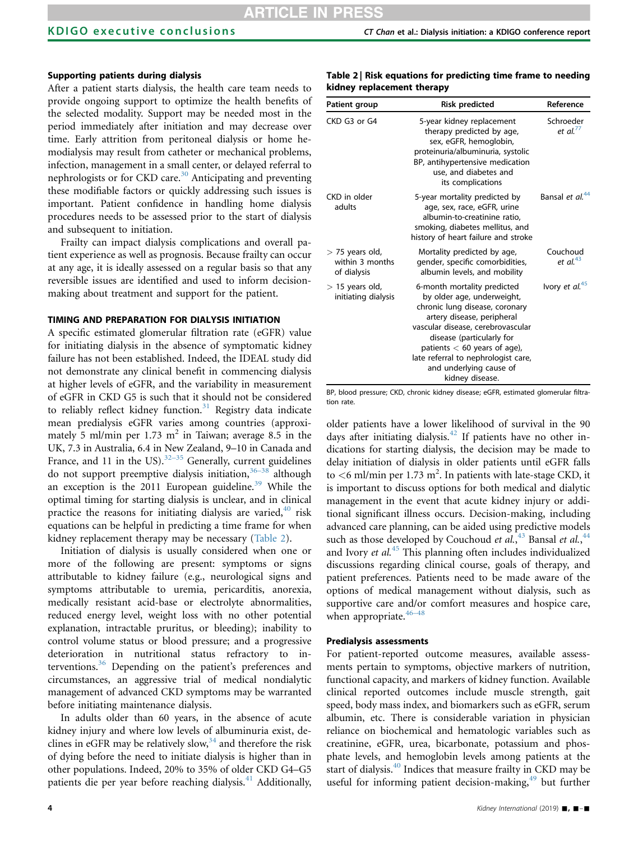# **ARTICLE IN PRESS**

# KDIGO executive conclusions examples and CT Chan et al.: Dialysis initiation: a KDIGO conference report

# Supporting patients during dialysis

After a patient starts dialysis, the health care team needs to provide ongoing support to optimize the health benefits of the selected modality. Support may be needed most in the period immediately after initiation and may decrease over time. Early attrition from peritoneal dialysis or home hemodialysis may result from catheter or mechanical problems, infection, management in a small center, or delayed referral to nephrologists or for CKD care.<sup>30</sup> Anticipating and preventing these modifiable factors or quickly addressing such issues is important. Patient confidence in handling home dialysis procedures needs to be assessed prior to the start of dialysis and subsequent to initiation.

Frailty can impact dialysis complications and overall patient experience as well as prognosis. Because frailty can occur at any age, it is ideally assessed on a regular basis so that any reversible issues are identified and used to inform decisionmaking about treatment and support for the patient.

# TIMING AND PREPARATION FOR DIALYSIS INITIATION

A specific estimated glomerular filtration rate (eGFR) value for initiating dialysis in the absence of symptomatic kidney failure has not been established. Indeed, the IDEAL study did not demonstrate any clinical benefit in commencing dialysis at higher levels of eGFR, and the variability in measurement of eGFR in CKD G5 is such that it should not be considered to reliably reflect kidney function. $31$  Registry data indicate mean predialysis eGFR varies among countries (approximately 5 ml/min per 1.73  $m<sup>2</sup>$  in Taiwan; average 8.5 in the UK, 7.3 in Australia, 6.4 in New Zealand, 9–10 in Canada and France, and 11 in the US). $32-35$  $32-35$  Generally, current guidelines do not support preemptive dialysis initiation,  $36-38$  $36-38$  although an exception is the 2011 European guideline. $39$  While the optimal timing for starting dialysis is unclear, and in clinical practice the reasons for initiating dialysis are varied, $40$  risk equations can be helpful in predicting a time frame for when kidney replacement therapy may be necessary (Table 2).

Initiation of dialysis is usually considered when one or more of the following are present: symptoms or signs attributable to kidney failure (e.g., neurological signs and symptoms attributable to uremia, pericarditis, anorexia, medically resistant acid-base or electrolyte abnormalities, reduced energy level, weight loss with no other potential explanation, intractable pruritus, or bleeding); inability to control volume status or blood pressure; and a progressive deterioration in nutritional status refractory to interventions.[36](#page-9-0) Depending on the patient's preferences and circumstances, an aggressive trial of medical nondialytic management of advanced CKD symptoms may be warranted before initiating maintenance dialysis.

In adults older than 60 years, in the absence of acute kidney injury and where low levels of albuminuria exist, declines in eGFR may be relatively slow,  $34$  and therefore the risk of dying before the need to initiate dialysis is higher than in other populations. Indeed, 20% to 35% of older CKD G4–G5 patients die per year before reaching dialysis. $41$  Additionally, Table 2 | Risk equations for predicting time frame to needing kidney replacement therapy

| Patient group                                       | <b>Risk predicted</b>                                                                                                                                                                                                                                                                                              | Reference                   |
|-----------------------------------------------------|--------------------------------------------------------------------------------------------------------------------------------------------------------------------------------------------------------------------------------------------------------------------------------------------------------------------|-----------------------------|
| CKD G3 or G4                                        | 5-year kidney replacement<br>therapy predicted by age,<br>sex, eGFR, hemoglobin,<br>proteinuria/albuminuria, systolic<br>BP, antihypertensive medication<br>use, and diabetes and<br>its complications                                                                                                             | Schroeder<br>et al. $77$    |
| CKD in older<br>adults                              | 5-year mortality predicted by<br>age, sex, race, eGFR, urine<br>albumin-to-creatinine ratio.<br>smoking, diabetes mellitus, and<br>history of heart failure and stroke                                                                                                                                             | Bansal et al. <sup>44</sup> |
| $>$ 75 years old,<br>within 3 months<br>of dialysis | Mortality predicted by age,<br>gender, specific comorbidities,<br>albumin levels, and mobility                                                                                                                                                                                                                     | Couchoud<br>et al. $43$     |
| $>$ 15 years old,<br>initiating dialysis            | 6-month mortality predicted<br>by older age, underweight,<br>chronic lung disease, coronary<br>artery disease, peripheral<br>vascular disease, cerebrovascular<br>disease (particularly for<br>patients $<$ 60 years of age),<br>late referral to nephrologist care,<br>and underlying cause of<br>kidney disease. | Ivory et al. <sup>45</sup>  |

BP, blood pressure; CKD, chronic kidney disease; eGFR, estimated glomerular filtration rate.

older patients have a lower likelihood of survival in the 90 days after initiating dialysis.<sup>[42](#page-9-0)</sup> If patients have no other indications for starting dialysis, the decision may be made to delay initiation of dialysis in older patients until eGFR falls to  $\lt$ 6 ml/min per 1.73 m<sup>2</sup>. In patients with late-stage CKD, it is important to discuss options for both medical and dialytic management in the event that acute kidney injury or additional significant illness occurs. Decision-making, including advanced care planning, can be aided using predictive models such as those developed by Couchoud et  $al.^{43}$  $al.^{43}$  $al.^{43}$  Bansal et  $al.^{44}$  $al.^{44}$  $al.^{44}$ and Ivory  $et$   $al$ .<sup>[45](#page-9-0)</sup> This planning often includes individualized discussions regarding clinical course, goals of therapy, and patient preferences. Patients need to be made aware of the options of medical management without dialysis, such as supportive care and/or comfort measures and hospice care, when appropriate.  $46-48$  $46-48$ 

# Predialysis assessments

For patient-reported outcome measures, available assessments pertain to symptoms, objective markers of nutrition, functional capacity, and markers of kidney function. Available clinical reported outcomes include muscle strength, gait speed, body mass index, and biomarkers such as eGFR, serum albumin, etc. There is considerable variation in physician reliance on biochemical and hematologic variables such as creatinine, eGFR, urea, bicarbonate, potassium and phosphate levels, and hemoglobin levels among patients at the start of dialysis.<sup>[40](#page-9-0)</sup> Indices that measure frailty in CKD may be useful for informing patient decision-making, $49$  but further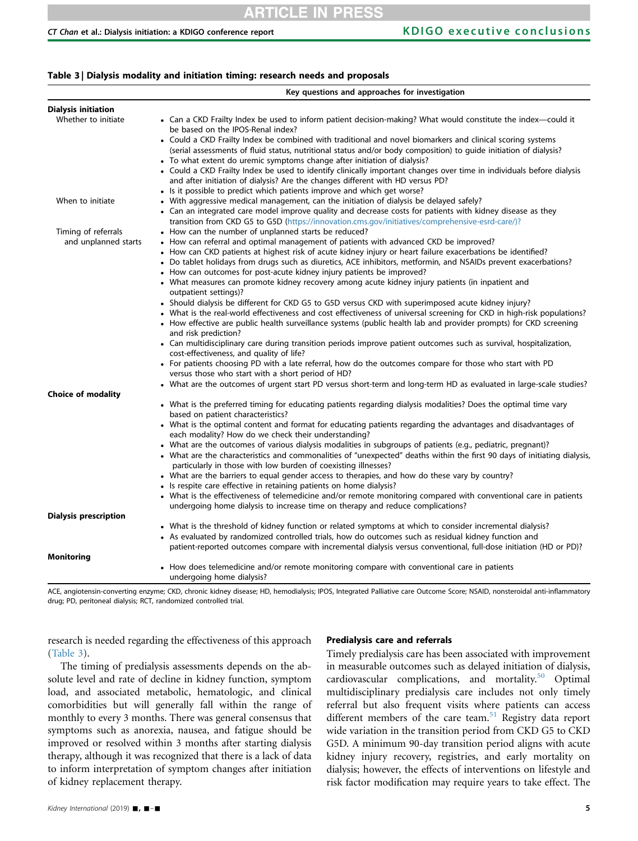# Table 3 | Dialysis modality and initiation timing: research needs and proposals

|                              | Key questions and approaches for investigation                                                                                                                                                                                                                                                              |
|------------------------------|-------------------------------------------------------------------------------------------------------------------------------------------------------------------------------------------------------------------------------------------------------------------------------------------------------------|
| <b>Dialysis initiation</b>   |                                                                                                                                                                                                                                                                                                             |
| Whether to initiate          | • Can a CKD Frailty Index be used to inform patient decision-making? What would constitute the index—could it<br>be based on the IPOS-Renal index?                                                                                                                                                          |
|                              | • Could a CKD Frailty Index be combined with traditional and novel biomarkers and clinical scoring systems<br>(serial assessments of fluid status, nutritional status and/or body composition) to quide initiation of dialysis?<br>• To what extent do uremic symptoms change after initiation of dialysis? |
|                              | • Could a CKD Frailty Index be used to identify clinically important changes over time in individuals before dialysis<br>and after initiation of dialysis? Are the changes different with HD versus PD?                                                                                                     |
|                              | • Is it possible to predict which patients improve and which get worse?                                                                                                                                                                                                                                     |
| When to initiate             | • With aggressive medical management, can the initiation of dialysis be delayed safely?<br>• Can an integrated care model improve quality and decrease costs for patients with kidney disease as they<br>transition from CKD G5 to G5D (https://innovation.cms.gov/initiatives/comprehensive-esrd-care/)?   |
| Timing of referrals          | • How can the number of unplanned starts be reduced?                                                                                                                                                                                                                                                        |
| and unplanned starts         | • How can referral and optimal management of patients with advanced CKD be improved?                                                                                                                                                                                                                        |
|                              | How can CKD patients at highest risk of acute kidney injury or heart failure exacerbations be identified?<br>• Do tablet holidays from drugs such as diuretics, ACE inhibitors, metformin, and NSAIDs prevent exacerbations?<br>• How can outcomes for post-acute kidney injury patients be improved?       |
|                              | • What measures can promote kidney recovery among acute kidney injury patients (in inpatient and<br>outpatient settings)?                                                                                                                                                                                   |
|                              | • Should dialysis be different for CKD G5 to G5D versus CKD with superimposed acute kidney injury?<br>• What is the real-world effectiveness and cost effectiveness of universal screening for CKD in high-risk populations?                                                                                |
|                              | • How effective are public health surveillance systems (public health lab and provider prompts) for CKD screening<br>and risk prediction?                                                                                                                                                                   |
|                              | • Can multidisciplinary care during transition periods improve patient outcomes such as survival, hospitalization,<br>cost-effectiveness, and quality of life?                                                                                                                                              |
|                              | • For patients choosing PD with a late referral, how do the outcomes compare for those who start with PD<br>versus those who start with a short period of HD?                                                                                                                                               |
|                              | What are the outcomes of urgent start PD versus short-term and long-term HD as evaluated in large-scale studies?                                                                                                                                                                                            |
| <b>Choice of modality</b>    | • What is the preferred timing for educating patients regarding dialysis modalities? Does the optimal time vary<br>based on patient characteristics?                                                                                                                                                        |
|                              | What is the optimal content and format for educating patients regarding the advantages and disadvantages of<br>each modality? How do we check their understanding?                                                                                                                                          |
|                              | What are the outcomes of various dialysis modalities in subgroups of patients (e.g., pediatric, pregnant)?<br>What are the characteristics and commonalities of "unexpected" deaths within the first 90 days of initiating dialysis,<br>particularly in those with low burden of coexisting illnesses?      |
|                              | • What are the barriers to equal gender access to therapies, and how do these vary by country?<br>• Is respite care effective in retaining patients on home dialysis?                                                                                                                                       |
|                              | • What is the effectiveness of telemedicine and/or remote monitoring compared with conventional care in patients<br>undergoing home dialysis to increase time on therapy and reduce complications?                                                                                                          |
| <b>Dialysis prescription</b> |                                                                                                                                                                                                                                                                                                             |
|                              | What is the threshold of kidney function or related symptoms at which to consider incremental dialysis?<br>As evaluated by randomized controlled trials, how do outcomes such as residual kidney function and                                                                                               |
|                              | patient-reported outcomes compare with incremental dialysis versus conventional, full-dose initiation (HD or PD)?                                                                                                                                                                                           |
| <b>Monitoring</b>            | • How does telemedicine and/or remote monitoring compare with conventional care in patients<br>undergoing home dialysis?                                                                                                                                                                                    |

ACE, angiotensin-converting enzyme; CKD, chronic kidney disease; HD, hemodialysis; IPOS, Integrated Palliative care Outcome Score; NSAID, nonsteroidal anti-inflammatory drug; PD, peritoneal dialysis; RCT, randomized controlled trial.

research is needed regarding the effectiveness of this approach (Table 3).

# Predialysis care and referrals

The timing of predialysis assessments depends on the absolute level and rate of decline in kidney function, symptom load, and associated metabolic, hematologic, and clinical comorbidities but will generally fall within the range of monthly to every 3 months. There was general consensus that symptoms such as anorexia, nausea, and fatigue should be improved or resolved within 3 months after starting dialysis therapy, although it was recognized that there is a lack of data to inform interpretation of symptom changes after initiation of kidney replacement therapy.

Timely predialysis care has been associated with improvement in measurable outcomes such as delayed initiation of dialysis, cardiovascular complications, and mortality.<sup>[50](#page-10-0)</sup> Optimal multidisciplinary predialysis care includes not only timely referral but also frequent visits where patients can access different members of the care team.<sup>[51](#page-10-0)</sup> Registry data report wide variation in the transition period from CKD G5 to CKD G5D. A minimum 90-day transition period aligns with acute kidney injury recovery, registries, and early mortality on dialysis; however, the effects of interventions on lifestyle and risk factor modification may require years to take effect. The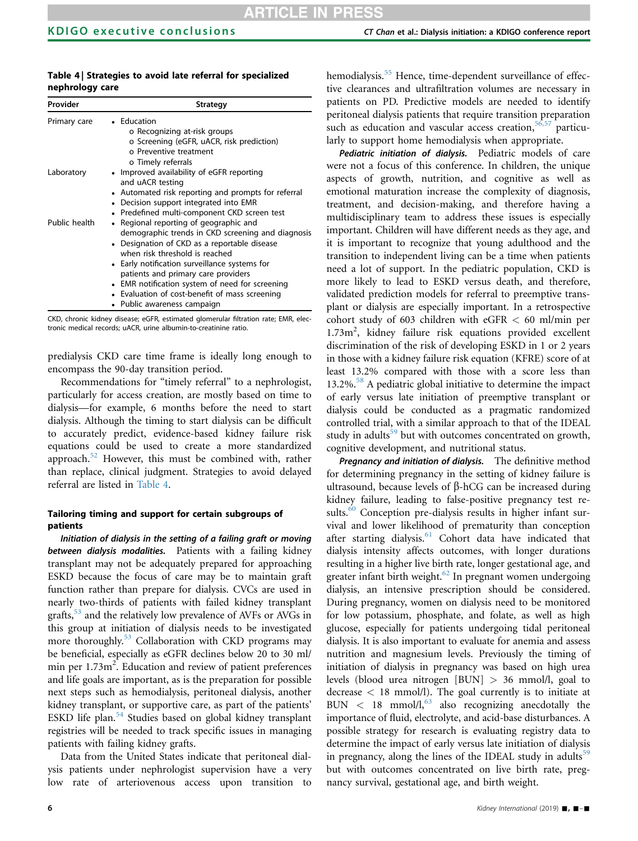# Table 4 | Strategies to avoid late referral for specialized nephrology care

| Provider      | <b>Strategy</b>                                   |
|---------------|---------------------------------------------------|
| Primary care  | • Education<br>o Recognizing at-risk groups       |
|               | o Screening (eGFR, uACR, risk prediction)         |
|               | o Preventive treatment                            |
|               | o Timely referrals                                |
| Laboratory    | • Improved availability of eGFR reporting         |
|               | and uACR testing                                  |
|               | Automated risk reporting and prompts for referral |
|               | Decision support integrated into EMR              |
|               | Predefined multi-component CKD screen test        |
| Public health | Regional reporting of geographic and              |
|               | demographic trends in CKD screening and diagnosis |
|               | • Designation of CKD as a reportable disease      |
|               | when risk threshold is reached                    |
|               | • Early notification surveillance systems for     |
|               | patients and primary care providers               |
|               | EMR notification system of need for screening     |
|               | Evaluation of cost-benefit of mass screening      |
|               | • Public awareness campaign                       |

CKD, chronic kidney disease; eGFR, estimated glomerular filtration rate; EMR, electronic medical records; uACR, urine albumin-to-creatinine ratio.

predialysis CKD care time frame is ideally long enough to encompass the 90-day transition period.

Recommendations for "timely referral" to a nephrologist, particularly for access creation, are mostly based on time to dialysis—for example, 6 months before the need to start dialysis. Although the timing to start dialysis can be difficult to accurately predict, evidence-based kidney failure risk equations could be used to create a more standardized approach.[52](#page-10-0) However, this must be combined with, rather than replace, clinical judgment. Strategies to avoid delayed referral are listed in Table 4.

# Tailoring timing and support for certain subgroups of patients

Initiation of dialysis in the setting of a failing graft or moving between dialysis modalities. Patients with a failing kidney transplant may not be adequately prepared for approaching ESKD because the focus of care may be to maintain graft function rather than prepare for dialysis. CVCs are used in nearly two-thirds of patients with failed kidney transplant grafts,<sup>[53](#page-10-0)</sup> and the relatively low prevalence of AVFs or AVGs in this group at initiation of dialysis needs to be investigated more thoroughly.<sup>[53](#page-10-0)</sup> Collaboration with CKD programs may be beneficial, especially as eGFR declines below 20 to 30 ml/ min per 1.73m<sup>2</sup>. Education and review of patient preferences and life goals are important, as is the preparation for possible next steps such as hemodialysis, peritoneal dialysis, another kidney transplant, or supportive care, as part of the patients' ESKD life plan.<sup>[54](#page-10-0)</sup> Studies based on global kidney transplant registries will be needed to track specific issues in managing patients with failing kidney grafts.

Data from the United States indicate that peritoneal dialysis patients under nephrologist supervision have a very low rate of arteriovenous access upon transition to hemodialysis.<sup>[55](#page-10-0)</sup> Hence, time-dependent surveillance of effective clearances and ultrafiltration volumes are necessary in patients on PD. Predictive models are needed to identify peritoneal dialysis patients that require transition preparation such as education and vascular access creation,  $56,57$  particularly to support home hemodialysis when appropriate.

Pediatric initiation of dialysis. Pediatric models of care were not a focus of this conference. In children, the unique aspects of growth, nutrition, and cognitive as well as emotional maturation increase the complexity of diagnosis, treatment, and decision-making, and therefore having a multidisciplinary team to address these issues is especially important. Children will have different needs as they age, and it is important to recognize that young adulthood and the transition to independent living can be a time when patients need a lot of support. In the pediatric population, CKD is more likely to lead to ESKD versus death, and therefore, validated prediction models for referral to preemptive transplant or dialysis are especially important. In a retrospective cohort study of 603 children with eGFR < 60 ml/min per 1.73m<sup>2</sup>, kidney failure risk equations provided excellent discrimination of the risk of developing ESKD in 1 or 2 years in those with a kidney failure risk equation (KFRE) score of at least 13.2% compared with those with a score less than  $13.2\%$ <sup>[58](#page-10-0)</sup> A pediatric global initiative to determine the impact of early versus late initiation of preemptive transplant or dialysis could be conducted as a pragmatic randomized controlled trial, with a similar approach to that of the IDEAL study in adults<sup>59</sup> but with outcomes concentrated on growth, cognitive development, and nutritional status.

Pregnancy and initiation of dialysis. The definitive method for determining pregnancy in the setting of kidney failure is ultrasound, because levels of  $\beta$ -hCG can be increased during kidney failure, leading to false-positive pregnancy test re-sults.<sup>[60](#page-10-0)</sup> Conception pre-dialysis results in higher infant survival and lower likelihood of prematurity than conception after starting dialysis.<sup>[61](#page-10-0)</sup> Cohort data have indicated that dialysis intensity affects outcomes, with longer durations resulting in a higher live birth rate, longer gestational age, and greater infant birth weight. $62$  In pregnant women undergoing dialysis, an intensive prescription should be considered. During pregnancy, women on dialysis need to be monitored for low potassium, phosphate, and folate, as well as high glucose, especially for patients undergoing tidal peritoneal dialysis. It is also important to evaluate for anemia and assess nutrition and magnesium levels. Previously the timing of initiation of dialysis in pregnancy was based on high urea levels (blood urea nitrogen [BUN] > 36 mmol/l, goal to decrease < 18 mmol/l). The goal currently is to initiate at BUN < 18 mmol/ $1,63$  $1,63$  also recognizing anecdotally the importance of fluid, electrolyte, and acid-base disturbances. A possible strategy for research is evaluating registry data to determine the impact of early versus late initiation of dialysis in pregnancy, along the lines of the IDEAL study in adults<sup>[59](#page-10-0)</sup> but with outcomes concentrated on live birth rate, pregnancy survival, gestational age, and birth weight.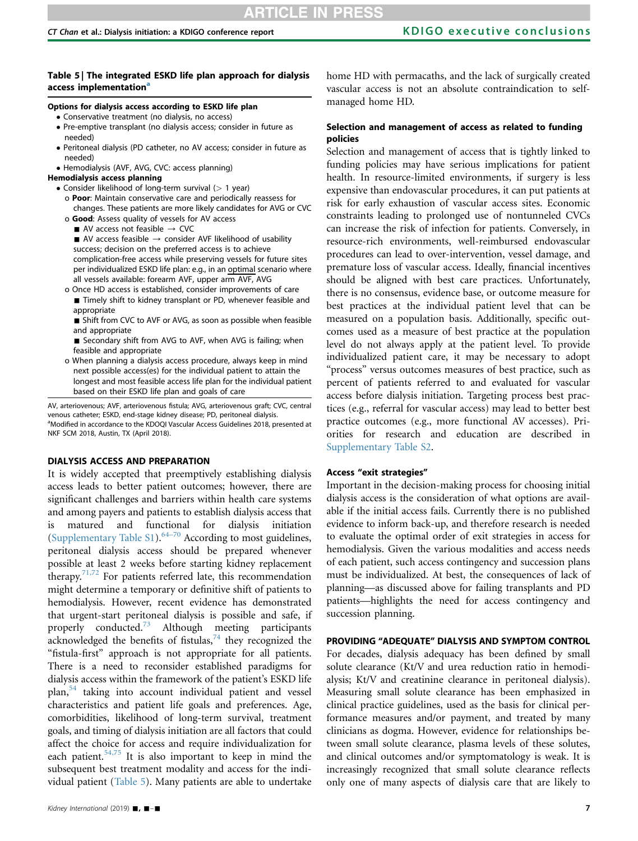# Table 5 | The integrated ESKD life plan approach for dialysis access implementation<sup>a</sup>

# Options for dialysis access according to ESKD life plan

- Conservative treatment (no dialysis, no access)
- Pre-emptive transplant (no dialysis access; consider in future as needed)
- Peritoneal dialysis (PD catheter, no AV access; consider in future as needed)
- Hemodialysis (AVF, AVG, CVC: access planning)

# Hemodialysis access planning

- Consider likelihood of long-term survival  $(> 1$  year) o Poor: Maintain conservative care and periodically reassess for changes. These patients are more likely candidates for AVG or CVC
	- o Good: Assess quality of vessels for AV access
		- $\blacksquare$  AV access not feasible  $\rightarrow$  CVC
		- $\blacksquare$  AV access feasible  $\rightarrow$  consider AVF likelihood of usability success; decision on the preferred access is to achieve complication-free access while preserving vessels for future sites per individualized ESKD life plan: e.g., in an optimal scenario where all vessels available: forearm AVF, upper arm AVF, AVG
	- o Once HD access is established, consider improvements of care Timely shift to kidney transplant or PD, whenever feasible and appropriate
		- Shift from CVC to AVF or AVG, as soon as possible when feasible and appropriate
		- Secondary shift from AVG to AVF, when AVG is failing; when feasible and appropriate
	- o When planning a dialysis access procedure, always keep in mind next possible access(es) for the individual patient to attain the longest and most feasible access life plan for the individual patient based on their ESKD life plan and goals of care

AV, arteriovenous; AVF, arteriovenous fistula; AVG, arteriovenous graft; CVC, central venous catheter; ESKD, end-stage kidney disease; PD, peritoneal dialysis. <sup>a</sup>Modified in accordance to the KDOQI Vascular Access Guidelines 2018, presented at NKF SCM 2018, Austin, TX (April 2018).

# DIALYSIS ACCESS AND PREPARATION

It is widely accepted that preemptively establishing dialysis access leads to better patient outcomes; however, there are significant challenges and barriers within health care systems and among payers and patients to establish dialysis access that is matured and functional for dialysis initiation [\(Supplementary Table S1](#page-8-0)). $64-70$  $64-70$  According to most guidelines, peritoneal dialysis access should be prepared whenever possible at least 2 weeks before starting kidney replacement therapy. $71,72$  For patients referred late, this recommendation might determine a temporary or definitive shift of patients to hemodialysis. However, recent evidence has demonstrated that urgent-start peritoneal dialysis is possible and safe, if properly conducted.[73](#page-10-0) Although meeting participants acknowledged the benefits of fistulas, $74$  they recognized the "fistula-first" approach is not appropriate for all patients. There is a need to reconsider established paradigms for dialysis access within the framework of the patient's ESKD life  $plan<sub>1</sub><sup>54</sup>$  $plan<sub>1</sub><sup>54</sup>$  $plan<sub>1</sub><sup>54</sup>$  taking into account individual patient and vessel characteristics and patient life goals and preferences. Age, comorbidities, likelihood of long-term survival, treatment goals, and timing of dialysis initiation are all factors that could affect the choice for access and require individualization for each patient.<sup>[54,75](#page-10-0)</sup> It is also important to keep in mind the subsequent best treatment modality and access for the individual patient (Table 5). Many patients are able to undertake home HD with permacaths, and the lack of surgically created vascular access is not an absolute contraindication to selfmanaged home HD.

# Selection and management of access as related to funding policies

Selection and management of access that is tightly linked to funding policies may have serious implications for patient health. In resource-limited environments, if surgery is less expensive than endovascular procedures, it can put patients at risk for early exhaustion of vascular access sites. Economic constraints leading to prolonged use of nontunneled CVCs can increase the risk of infection for patients. Conversely, in resource-rich environments, well-reimbursed endovascular procedures can lead to over-intervention, vessel damage, and premature loss of vascular access. Ideally, financial incentives should be aligned with best care practices. Unfortunately, there is no consensus, evidence base, or outcome measure for best practices at the individual patient level that can be measured on a population basis. Additionally, specific outcomes used as a measure of best practice at the population level do not always apply at the patient level. To provide individualized patient care, it may be necessary to adopt "process" versus outcomes measures of best practice, such as percent of patients referred to and evaluated for vascular access before dialysis initiation. Targeting process best practices (e.g., referral for vascular access) may lead to better best practice outcomes (e.g., more functional AV accesses). Priorities for research and education are described in [Supplementary Table S2](#page-8-0).

### Access "exit strategies"

Important in the decision-making process for choosing initial dialysis access is the consideration of what options are available if the initial access fails. Currently there is no published evidence to inform back-up, and therefore research is needed to evaluate the optimal order of exit strategies in access for hemodialysis. Given the various modalities and access needs of each patient, such access contingency and succession plans must be individualized. At best, the consequences of lack of planning—as discussed above for failing transplants and PD patients—highlights the need for access contingency and succession planning.

# PROVIDING "ADEQUATE" DIALYSIS AND SYMPTOM CONTROL

For decades, dialysis adequacy has been defined by small solute clearance (Kt/V and urea reduction ratio in hemodialysis; Kt/V and creatinine clearance in peritoneal dialysis). Measuring small solute clearance has been emphasized in clinical practice guidelines, used as the basis for clinical performance measures and/or payment, and treated by many clinicians as dogma. However, evidence for relationships between small solute clearance, plasma levels of these solutes, and clinical outcomes and/or symptomatology is weak. It is increasingly recognized that small solute clearance reflects only one of many aspects of dialysis care that are likely to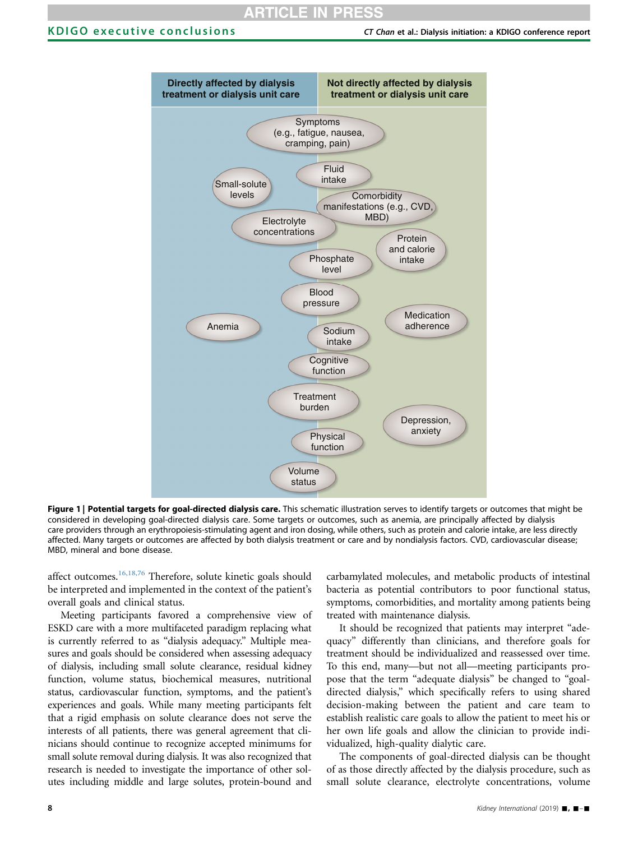<span id="page-7-0"></span>

Figure 1 | Potential targets for goal-directed dialysis care. This schematic illustration serves to identify targets or outcomes that might be considered in developing goal-directed dialysis care. Some targets or outcomes, such as anemia, are principally affected by dialysis care providers through an erythropoiesis-stimulating agent and iron dosing, while others, such as protein and calorie intake, are less directly affected. Many targets or outcomes are affected by both dialysis treatment or care and by nondialysis factors. CVD, cardiovascular disease; MBD, mineral and bone disease.

affect outcomes.<sup>16,18,76</sup> Therefore, solute kinetic goals should be interpreted and implemented in the context of the patient's overall goals and clinical status.

Meeting participants favored a comprehensive view of ESKD care with a more multifaceted paradigm replacing what is currently referred to as "dialysis adequacy." Multiple measures and goals should be considered when assessing adequacy of dialysis, including small solute clearance, residual kidney function, volume status, biochemical measures, nutritional status, cardiovascular function, symptoms, and the patient's experiences and goals. While many meeting participants felt that a rigid emphasis on solute clearance does not serve the interests of all patients, there was general agreement that clinicians should continue to recognize accepted minimums for small solute removal during dialysis. It was also recognized that research is needed to investigate the importance of other solutes including middle and large solutes, protein-bound and

carbamylated molecules, and metabolic products of intestinal bacteria as potential contributors to poor functional status, symptoms, comorbidities, and mortality among patients being treated with maintenance dialysis.

It should be recognized that patients may interpret "adequacy" differently than clinicians, and therefore goals for treatment should be individualized and reassessed over time. To this end, many—but not all—meeting participants propose that the term "adequate dialysis" be changed to "goaldirected dialysis," which specifically refers to using shared decision-making between the patient and care team to establish realistic care goals to allow the patient to meet his or her own life goals and allow the clinician to provide individualized, high-quality dialytic care.

The components of goal-directed dialysis can be thought of as those directly affected by the dialysis procedure, such as small solute clearance, electrolyte concentrations, volume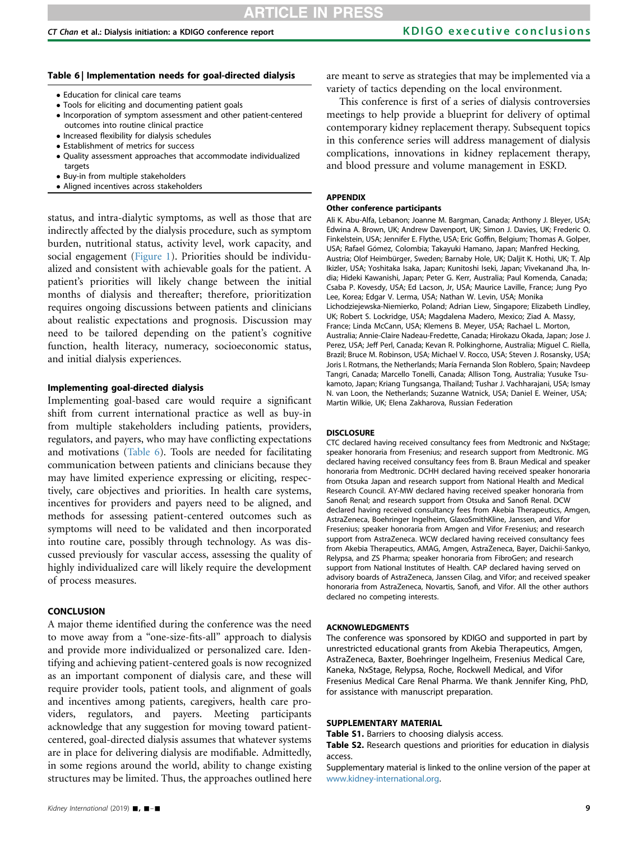**RTICLE IN PRESS** 

#### <span id="page-8-0"></span>Table 6 | Implementation needs for goal-directed dialysis

- Education for clinical care teams
- Tools for eliciting and documenting patient goals
- Incorporation of symptom assessment and other patient-centered outcomes into routine clinical practice
- Increased flexibility for dialysis schedules
- Establishment of metrics for success
- Quality assessment approaches that accommodate individualized targets
- Buy-in from multiple stakeholders
- Aligned incentives across stakeholders

status, and intra-dialytic symptoms, as well as those that are indirectly affected by the dialysis procedure, such as symptom burden, nutritional status, activity level, work capacity, and social engagement [\(Figure 1](#page-7-0)). Priorities should be individualized and consistent with achievable goals for the patient. A patient's priorities will likely change between the initial months of dialysis and thereafter; therefore, prioritization requires ongoing discussions between patients and clinicians about realistic expectations and prognosis. Discussion may need to be tailored depending on the patient's cognitive function, health literacy, numeracy, socioeconomic status, and initial dialysis experiences.

#### Implementing goal-directed dialysis

Implementing goal-based care would require a significant shift from current international practice as well as buy-in from multiple stakeholders including patients, providers, regulators, and payers, who may have conflicting expectations and motivations (Table 6). Tools are needed for facilitating communication between patients and clinicians because they may have limited experience expressing or eliciting, respectively, care objectives and priorities. In health care systems, incentives for providers and payers need to be aligned, and methods for assessing patient-centered outcomes such as symptoms will need to be validated and then incorporated into routine care, possibly through technology. As was discussed previously for vascular access, assessing the quality of highly individualized care will likely require the development of process measures.

#### **CONCLUSION**

A major theme identified during the conference was the need to move away from a "one-size-fits-all" approach to dialysis and provide more individualized or personalized care. Identifying and achieving patient-centered goals is now recognized as an important component of dialysis care, and these will require provider tools, patient tools, and alignment of goals and incentives among patients, caregivers, health care providers, regulators, and payers. Meeting participants acknowledge that any suggestion for moving toward patientcentered, goal-directed dialysis assumes that whatever systems are in place for delivering dialysis are modifiable. Admittedly, in some regions around the world, ability to change existing structures may be limited. Thus, the approaches outlined here

This conference is first of a series of dialysis controversies meetings to help provide a blueprint for delivery of optimal contemporary kidney replacement therapy. Subsequent topics in this conference series will address management of dialysis complications, innovations in kidney replacement therapy, and blood pressure and volume management in ESKD.

#### APPENDIX

### Other conference participants

Ali K. Abu-Alfa, Lebanon; Joanne M. Bargman, Canada; Anthony J. Bleyer, USA; Edwina A. Brown, UK; Andrew Davenport, UK; Simon J. Davies, UK; Frederic O. Finkelstein, USA; Jennifer E. Flythe, USA; Eric Goffin, Belgium; Thomas A. Golper, USA; Rafael Gómez, Colombia; Takayuki Hamano, Japan; Manfred Hecking, Austria; Olof Heimbürger, Sweden; Barnaby Hole, UK; Daljit K. Hothi, UK; T. Alp Ikizler, USA; Yoshitaka Isaka, Japan; Kunitoshi Iseki, Japan; Vivekanand Jha, India; Hideki Kawanishi, Japan; Peter G. Kerr, Australia; Paul Komenda, Canada; Csaba P. Kovesdy, USA; Ed Lacson, Jr, USA; Maurice Laville, France; Jung Pyo Lee, Korea; Edgar V. Lerma, USA; Nathan W. Levin, USA; Monika Lichodziejewska-Niemierko, Poland; Adrian Liew, Singapore; Elizabeth Lindley, UK; Robert S. Lockridge, USA; Magdalena Madero, Mexico; Ziad A. Massy, France; Linda McCann, USA; Klemens B. Meyer, USA; Rachael L. Morton, Australia; Annie-Claire Nadeau-Fredette, Canada; Hirokazu Okada, Japan; Jose J. Perez, USA; Jeff Perl, Canada; Kevan R. Polkinghorne, Australia; Miguel C. Riella, Brazil; Bruce M. Robinson, USA; Michael V. Rocco, USA; Steven J. Rosansky, USA; Joris I. Rotmans, the Netherlands; María Fernanda Slon Roblero, Spain; Navdeep Tangri, Canada; Marcello Tonelli, Canada; Allison Tong, Australia; Yusuke Tsukamoto, Japan; Kriang Tungsanga, Thailand; Tushar J. Vachharajani, USA; Ismay N. van Loon, the Netherlands; Suzanne Watnick, USA; Daniel E. Weiner, USA; Martin Wilkie, UK; Elena Zakharova, Russian Federation

#### **DISCLOSURE**

CTC declared having received consultancy fees from Medtronic and NxStage; speaker honoraria from Fresenius; and research support from Medtronic. MG declared having received consultancy fees from B. Braun Medical and speaker honoraria from Medtronic. DCHH declared having received speaker honoraria from Otsuka Japan and research support from National Health and Medical Research Council. AY-MW declared having received speaker honoraria from Sanofi Renal; and research support from Otsuka and Sanofi Renal. DCW declared having received consultancy fees from Akebia Therapeutics, Amgen, AstraZeneca, Boehringer Ingelheim, GlaxoSmithKline, Janssen, and Vifor Fresenius; speaker honoraria from Amgen and Vifor Fresenius; and research support from AstraZeneca. WCW declared having received consultancy fees from Akebia Therapeutics, AMAG, Amgen, AstraZeneca, Bayer, Daichii-Sankyo, Relypsa, and ZS Pharma; speaker honoraria from FibroGen; and research support from National Institutes of Health. CAP declared having served on advisory boards of AstraZeneca, Janssen Cilag, and Vifor; and received speaker honoraria from AstraZeneca, Novartis, Sanofi, and Vifor. All the other authors declared no competing interests.

#### ACKNOWLEDGMENTS

The conference was sponsored by KDIGO and supported in part by unrestricted educational grants from Akebia Therapeutics, Amgen, AstraZeneca, Baxter, Boehringer Ingelheim, Fresenius Medical Care, Kaneka, NxStage, Relypsa, Roche, Rockwell Medical, and Vifor Fresenius Medical Care Renal Pharma. We thank Jennifer King, PhD, for assistance with manuscript preparation.

#### SUPPLEMENTARY MATERIAL

Table S1. Barriers to choosing dialysis access.

Table S2. Research questions and priorities for education in dialysis access.

Supplementary material is linked to the online version of the paper at [www.kidney-international.org.](http://www.kidney-international.org)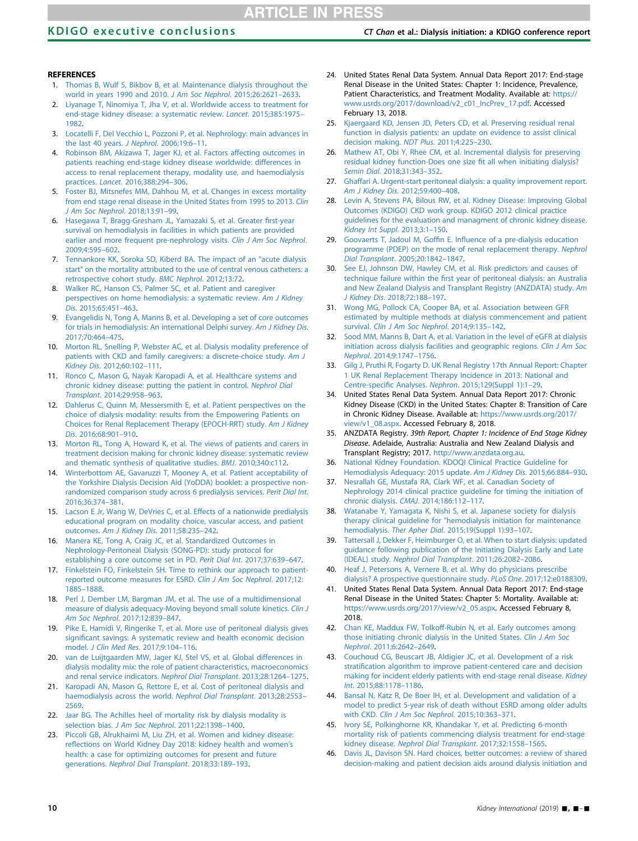# **ARTICLE IN PRESS**

# <span id="page-9-0"></span>KDIGO executive conclusions examples and CT Chan et al.: Dialysis initiation: a KDIGO conference report

#### REFERENCES

- 1. [Thomas B, Wulf S, Bikbov B, et al. Maintenance dialysis throughout the](http://refhub.elsevier.com/S0085-2538(19)30138-3/sref1) [world in years 1990 and 2010.](http://refhub.elsevier.com/S0085-2538(19)30138-3/sref1) J Am Soc Nephrol. 2015;26:2621–2633.
- 2. [Liyanage T, Ninomiya T, Jha V, et al. Worldwide access to treatment for](http://refhub.elsevier.com/S0085-2538(19)30138-3/sref2) [end-stage kidney disease: a systematic review.](http://refhub.elsevier.com/S0085-2538(19)30138-3/sref2) Lancet. 2015;385:1975– [1982](http://refhub.elsevier.com/S0085-2538(19)30138-3/sref2).
- 3. [Locatelli F, Del Vecchio L, Pozzoni P, et al. Nephrology: main advances in](http://refhub.elsevier.com/S0085-2538(19)30138-3/sref3) [the last 40 years.](http://refhub.elsevier.com/S0085-2538(19)30138-3/sref3) J Nephrol. 2006;19:6–11.
- 4. [Robinson BM, Akizawa T, Jager KJ, et al. Factors affecting outcomes in](http://refhub.elsevier.com/S0085-2538(19)30138-3/sref4) [patients reaching end-stage kidney disease worldwide: differences in](http://refhub.elsevier.com/S0085-2538(19)30138-3/sref4) [access to renal replacement therapy, modality use, and haemodialysis](http://refhub.elsevier.com/S0085-2538(19)30138-3/sref4) practices. Lancet[. 2016;388:294](http://refhub.elsevier.com/S0085-2538(19)30138-3/sref4)–306.
- 5. [Foster BJ, Mitsnefes MM, Dahhou M, et al. Changes in excess mortality](http://refhub.elsevier.com/S0085-2538(19)30138-3/sref5) [from end stage renal disease in the United States from 1995 to 2013.](http://refhub.elsevier.com/S0085-2538(19)30138-3/sref5) Clin [J Am Soc Nephrol](http://refhub.elsevier.com/S0085-2538(19)30138-3/sref5). 2018;13:91–99.
- 6. [Hasegawa T, Bragg-Gresham JL, Yamazaki S, et al. Greater](http://refhub.elsevier.com/S0085-2538(19)30138-3/sref6) first-year [survival on hemodialysis in facilities in which patients are provided](http://refhub.elsevier.com/S0085-2538(19)30138-3/sref6) [earlier and more frequent pre-nephrology visits.](http://refhub.elsevier.com/S0085-2538(19)30138-3/sref6) Clin J Am Soc Nephrol. [2009;4:595](http://refhub.elsevier.com/S0085-2538(19)30138-3/sref6)–602.
- 7. [Tennankore KK, Soroka SD, Kiberd BA. The impact of an "acute dialysis](http://refhub.elsevier.com/S0085-2538(19)30138-3/sref7) [start" on the mortality attributed to the use of central venous catheters: a](http://refhub.elsevier.com/S0085-2538(19)30138-3/sref7) [retrospective cohort study.](http://refhub.elsevier.com/S0085-2538(19)30138-3/sref7) BMC Nephrol. 2012;13:72.
- [Walker RC, Hanson CS, Palmer SC, et al. Patient and caregiver](http://refhub.elsevier.com/S0085-2538(19)30138-3/sref8) [perspectives on home hemodialysis: a systematic review.](http://refhub.elsevier.com/S0085-2538(19)30138-3/sref8) Am J Kidney Dis[. 2015;65:451](http://refhub.elsevier.com/S0085-2538(19)30138-3/sref8)–463.
- 9. [Evangelidis N, Tong A, Manns B, et al. Developing a set of core outcomes](http://refhub.elsevier.com/S0085-2538(19)30138-3/sref9) [for trials in hemodialysis: An international Delphi survey.](http://refhub.elsevier.com/S0085-2538(19)30138-3/sref9) Am J Kidney Dis. [2017;70:464](http://refhub.elsevier.com/S0085-2538(19)30138-3/sref9)–475.
- 10. [Morton RL, Snelling P, Webster AC, et al. Dialysis modality preference of](http://refhub.elsevier.com/S0085-2538(19)30138-3/sref10) [patients with CKD and family caregivers: a discrete-choice study.](http://refhub.elsevier.com/S0085-2538(19)30138-3/sref10) Am J Kidney Dis[. 2012;60:102](http://refhub.elsevier.com/S0085-2538(19)30138-3/sref10)–111.
- 11. [Ronco C, Mason G, Nayak Karopadi A, et al. Healthcare systems and](http://refhub.elsevier.com/S0085-2538(19)30138-3/sref11) [chronic kidney disease: putting the patient in control.](http://refhub.elsevier.com/S0085-2538(19)30138-3/sref11) Nephrol Dial Transplant[. 2014;29:958](http://refhub.elsevier.com/S0085-2538(19)30138-3/sref11)–963.
- 12. [Dahlerus C, Quinn M, Messersmith E, et al. Patient perspectives on the](http://refhub.elsevier.com/S0085-2538(19)30138-3/sref12) [choice of dialysis modality: results from the Empowering Patients on](http://refhub.elsevier.com/S0085-2538(19)30138-3/sref12) [Choices for Renal Replacement Therapy \(EPOCH-RRT\) study.](http://refhub.elsevier.com/S0085-2538(19)30138-3/sref12) Am J Kidney Dis[. 2016;68:901](http://refhub.elsevier.com/S0085-2538(19)30138-3/sref12)–910.
- 13. [Morton RL, Tong A, Howard K, et al. The views of patients and carers in](http://refhub.elsevier.com/S0085-2538(19)30138-3/sref13) [treatment decision making for chronic kidney disease: systematic review](http://refhub.elsevier.com/S0085-2538(19)30138-3/sref13) [and thematic synthesis of qualitative studies.](http://refhub.elsevier.com/S0085-2538(19)30138-3/sref13) BMJ. 2010;340:c112.
- [Winterbottom AE, Gavaruzzi T, Mooney A, et al. Patient acceptability of](http://refhub.elsevier.com/S0085-2538(19)30138-3/sref14) [the Yorkshire Dialysis Decision Aid \(YoDDA\) booklet: a prospective non](http://refhub.elsevier.com/S0085-2538(19)30138-3/sref14)[randomized comparison study across 6 predialysis services.](http://refhub.elsevier.com/S0085-2538(19)30138-3/sref14) Perit Dial Int. [2016;36:374](http://refhub.elsevier.com/S0085-2538(19)30138-3/sref14)–381.
- 15. [Lacson E Jr, Wang W, DeVries C, et al. Effects of a nationwide predialysis](http://refhub.elsevier.com/S0085-2538(19)30138-3/sref15) [educational program on modality choice, vascular access, and patient](http://refhub.elsevier.com/S0085-2538(19)30138-3/sref15) outcomes. [Am J Kidney Dis](http://refhub.elsevier.com/S0085-2538(19)30138-3/sref15). 2011;58:235–242.
- 16. [Manera KE, Tong A, Craig JC, et al. Standardized Outcomes in](http://refhub.elsevier.com/S0085-2538(19)30138-3/sref16) [Nephrology-Peritoneal Dialysis \(SONG-PD\): study protocol for](http://refhub.elsevier.com/S0085-2538(19)30138-3/sref16) [establishing a core outcome set in PD.](http://refhub.elsevier.com/S0085-2538(19)30138-3/sref16) Perit Dial Int. 2017;37:639–647.
- 17. [Finkelstein FO, Finkelstein SH. Time to rethink our approach to patient](http://refhub.elsevier.com/S0085-2538(19)30138-3/sref17)[reported outcome measures for ESRD.](http://refhub.elsevier.com/S0085-2538(19)30138-3/sref17) Clin J Am Soc Nephrol. 2017;12: 1885–[1888](http://refhub.elsevier.com/S0085-2538(19)30138-3/sref17).
- 18. [Perl J, Dember LM, Bargman JM, et al. The use of a multidimensional](http://refhub.elsevier.com/S0085-2538(19)30138-3/sref18) [measure of dialysis adequacy-Moving beyond small solute kinetics.](http://refhub.elsevier.com/S0085-2538(19)30138-3/sref18) Clin J [Am Soc Nephrol](http://refhub.elsevier.com/S0085-2538(19)30138-3/sref18). 2017;12:839–847.
- 19. [Pike E, Hamidi V, Ringerike T, et al. More use of peritoneal dialysis gives](http://refhub.elsevier.com/S0085-2538(19)30138-3/sref19) signifi[cant savings: A systematic review and health economic decision](http://refhub.elsevier.com/S0085-2538(19)30138-3/sref19) model. [J Clin Med Res](http://refhub.elsevier.com/S0085-2538(19)30138-3/sref19). 2017;9:104–116.
- 20. [van de Luijtgaarden MW, Jager KJ, Stel VS, et al. Global differences in](http://refhub.elsevier.com/S0085-2538(19)30138-3/sref20) [dialysis modality mix: the role of patient characteristics, macroeconomics](http://refhub.elsevier.com/S0085-2538(19)30138-3/sref20) [and renal service indicators.](http://refhub.elsevier.com/S0085-2538(19)30138-3/sref20) Nephrol Dial Transplant. 2013;28:1264–1275.
- 21. [Karopadi AN, Mason G, Rettore E, et al. Cost of peritoneal dialysis and](http://refhub.elsevier.com/S0085-2538(19)30138-3/sref21) [haemodialysis across the world.](http://refhub.elsevier.com/S0085-2538(19)30138-3/sref21) Nephrol Dial Transplant. 2013;28:2553– [2569](http://refhub.elsevier.com/S0085-2538(19)30138-3/sref21).
- 22. [Jaar BG. The Achilles heel of mortality risk by dialysis modality is](http://refhub.elsevier.com/S0085-2538(19)30138-3/sref22) selection bias. [J Am Soc Nephrol](http://refhub.elsevier.com/S0085-2538(19)30138-3/sref22). 2011;22:1398–1400.
- 23. [Piccoli GB, Alrukhaimi M, Liu ZH, et al. Women and kidney disease:](http://refhub.elsevier.com/S0085-2538(19)30138-3/sref23) refl[ections on World Kidney Day 2018: kidney health and women](http://refhub.elsevier.com/S0085-2538(19)30138-3/sref23)'s [health: a case for optimizing outcomes for present and future](http://refhub.elsevier.com/S0085-2538(19)30138-3/sref23) generations. [Nephrol Dial Transplant](http://refhub.elsevier.com/S0085-2538(19)30138-3/sref23). 2018;33:189–193.
- 24. United States Renal Data System. Annual Data Report 2017: End-stage Renal Disease in the United States: Chapter 1: Incidence, Prevalence, Patient Characteristics, and Treatment Modality. Available at: [https://](https://www.usrds.org/2017/download/v2_c01_IncPrev_17.pdf) [www.usrds.org/2017/download/v2\\_c01\\_IncPrev\\_17.pdf](https://www.usrds.org/2017/download/v2_c01_IncPrev_17.pdf). Accessed February 13, 2018.
- 25. [Kjaergaard KD, Jensen JD, Peters CD, et al. Preserving residual renal](http://refhub.elsevier.com/S0085-2538(19)30138-3/sref25) [function in dialysis patients: an update on evidence to assist clinical](http://refhub.elsevier.com/S0085-2538(19)30138-3/sref25) [decision making.](http://refhub.elsevier.com/S0085-2538(19)30138-3/sref25) NDT Plus. 2011;4:225–230.
- 26. [Mathew AT, Obi Y, Rhee CM, et al. Incremental dialysis for preserving](http://refhub.elsevier.com/S0085-2538(19)30138-3/sref26) [residual kidney function-Does one size](http://refhub.elsevier.com/S0085-2538(19)30138-3/sref26) fit all when initiating dialysis? Semin Dial[. 2018;31:343](http://refhub.elsevier.com/S0085-2538(19)30138-3/sref26)–352.
- 27. [Ghaffari A. Urgent-start peritoneal dialysis: a quality improvement report.](http://refhub.elsevier.com/S0085-2538(19)30138-3/sref27) [Am J Kidney Dis](http://refhub.elsevier.com/S0085-2538(19)30138-3/sref27). 2012;59:400–408.
- 28. [Levin A, Stevens PA, Bilous RW, et al. Kidney Disease: Improving Global](http://refhub.elsevier.com/S0085-2538(19)30138-3/sref28) [Outcomes \(KDIGO\) CKD work group. KDIGO 2012 clinical practice](http://refhub.elsevier.com/S0085-2538(19)30138-3/sref28) [guidelines for the evaluation and managment of chronic kidney disease.](http://refhub.elsevier.com/S0085-2538(19)30138-3/sref28) [Kidney Int Suppl](http://refhub.elsevier.com/S0085-2538(19)30138-3/sref28). 2013;3:1–150.
- 29. Goovaerts T, Jadoul M, Goffin E. Infl[uence of a pre-dialysis education](http://refhub.elsevier.com/S0085-2538(19)30138-3/sref29) [programme \(PDEP\) on the mode of renal replacement therapy.](http://refhub.elsevier.com/S0085-2538(19)30138-3/sref29) Nephrol [Dial Transplant](http://refhub.elsevier.com/S0085-2538(19)30138-3/sref29). 2005;20:1842–1847.
- 30. [See EJ, Johnson DW, Hawley CM, et al. Risk predictors and causes of](http://refhub.elsevier.com/S0085-2538(19)30138-3/sref30) technique failure within the fi[rst year of peritoneal dialysis: an Australia](http://refhub.elsevier.com/S0085-2538(19)30138-3/sref30) [and New Zealand Dialysis and Transplant Registry \(ANZDATA\) study.](http://refhub.elsevier.com/S0085-2538(19)30138-3/sref30) Am J Kidney Dis[. 2018;72:188](http://refhub.elsevier.com/S0085-2538(19)30138-3/sref30)–197.
- 31. [Wong MG, Pollock CA, Cooper BA, et al. Association between GFR](http://refhub.elsevier.com/S0085-2538(19)30138-3/sref31) [estimated by multiple methods at dialysis commencement and patient](http://refhub.elsevier.com/S0085-2538(19)30138-3/sref31) survival. [Clin J Am Soc Nephrol](http://refhub.elsevier.com/S0085-2538(19)30138-3/sref31). 2014;9:135-142.
- 32. [Sood MM, Manns B, Dart A, et al. Variation in the level of eGFR at dialysis](http://refhub.elsevier.com/S0085-2538(19)30138-3/sref32) [initiation across dialysis facilities and geographic regions.](http://refhub.elsevier.com/S0085-2538(19)30138-3/sref32) Clin J Am Soc Nephrol[. 2014;9:1747](http://refhub.elsevier.com/S0085-2538(19)30138-3/sref32)–1756.
- 33. [Gilg J, Pruthi R, Fogarty D. UK Renal Registry 17th Annual Report: Chapter](http://refhub.elsevier.com/S0085-2538(19)30138-3/sref33) [1 UK Renal Replacement Therapy Incidence in 2013: National and](http://refhub.elsevier.com/S0085-2538(19)30138-3/sref33) Centre-specific Analyses. Nephron[. 2015;129\(Suppl 1\):1](http://refhub.elsevier.com/S0085-2538(19)30138-3/sref33)–29.
- 34. United States Renal Data System. Annual Data Report 2017: Chronic Kidney Disease (CKD) in the United States: Chapter 8: Transition of Care in Chronic Kidney Disease. Available at: [https://www.usrds.org/2017/](https://www.usrds.org/2017/view/v1_08.aspx) [view/v1\\_08.aspx.](https://www.usrds.org/2017/view/v1_08.aspx) Accessed February 8, 2018.
- 35. ANZDATA Registry. 39th Report, Chapter 1: Incidence of End Stage Kidney Disease. Adelaide, Australia: Australia and New Zealand Dialysis and Transplant Registry; 2017. [http://www.anzdata.org.au.](http://www.anzdata.org.au)
- 36. [National Kidney Foundation. KDOQI Clinical Practice Guideline for](http://refhub.elsevier.com/S0085-2538(19)30138-3/sref36) [Hemodialysis Adequacy: 2015 update.](http://refhub.elsevier.com/S0085-2538(19)30138-3/sref36) Am J Kidney Dis. 2015;66:884–930.
- 37. [Nesrallah GE, Mustafa RA, Clark WF, et al. Canadian Society of](http://refhub.elsevier.com/S0085-2538(19)30138-3/sref37) [Nephrology 2014 clinical practice guideline for timing the initiation of](http://refhub.elsevier.com/S0085-2538(19)30138-3/sref37) [chronic dialysis.](http://refhub.elsevier.com/S0085-2538(19)30138-3/sref37) CMAJ. 2014;186:112–117.
- 38. [Watanabe Y, Yamagata K, Nishi S, et al. Japanese society for dialysis](http://refhub.elsevier.com/S0085-2538(19)30138-3/sref38) [therapy clinical guideline for "hemodialysis initiation for maintenance](http://refhub.elsevier.com/S0085-2538(19)30138-3/sref38) hemodialysis. Ther Apher Dial. 2015:19(Suppl 1):93-107.
- 39. [Tattersall J, Dekker F, Heimburger O, et al. When to start dialysis: updated](http://refhub.elsevier.com/S0085-2538(19)30138-3/sref39) [guidance following publication of the Initiating Dialysis Early and Late](http://refhub.elsevier.com/S0085-2538(19)30138-3/sref39) (IDEAL) study. [Nephrol Dial Transplant](http://refhub.elsevier.com/S0085-2538(19)30138-3/sref39). 2011;26:2082–2086.
- 40. [Heaf J, Petersons A, Vernere B, et al. Why do physicians prescribe](http://refhub.elsevier.com/S0085-2538(19)30138-3/sref40) [dialysis? A prospective questionnaire study.](http://refhub.elsevier.com/S0085-2538(19)30138-3/sref40) PLoS One. 2017;12:e0188309.
- 41. United States Renal Data System. Annual Data Report 2017: End-stage Renal Disease in the United States: Chapter 5: Mortality. Available at: [https://www.usrds.org/2017/view/v2\\_05.aspx](https://www.usrds.org/2017/view/v2_05.aspx). Accessed February 8, 2018.
- 42. [Chan KE, Maddux FW, Tolkoff-Rubin N, et al. Early outcomes among](http://refhub.elsevier.com/S0085-2538(19)30138-3/sref42) [those initiating chronic dialysis in the United States.](http://refhub.elsevier.com/S0085-2538(19)30138-3/sref42) Clin J Am Soc Nephrol[. 2011;6:2642](http://refhub.elsevier.com/S0085-2538(19)30138-3/sref42)–2649.
- 43. [Couchoud CG, Beuscart JB, Aldigier JC, et al. Development of a risk](http://refhub.elsevier.com/S0085-2538(19)30138-3/sref43) stratifi[cation algorithm to improve patient-centered care and decision](http://refhub.elsevier.com/S0085-2538(19)30138-3/sref43) [making for incident elderly patients with end-stage renal disease.](http://refhub.elsevier.com/S0085-2538(19)30138-3/sref43) Kidney Int[. 2015;88:1178](http://refhub.elsevier.com/S0085-2538(19)30138-3/sref43)–1186.
- 44. [Bansal N, Katz R, De Boer IH, et al. Development and validation of a](http://refhub.elsevier.com/S0085-2538(19)30138-3/sref44) [model to predict 5-year risk of death without ESRD among older adults](http://refhub.elsevier.com/S0085-2538(19)30138-3/sref44) with CKD. [Clin J Am Soc Nephrol](http://refhub.elsevier.com/S0085-2538(19)30138-3/sref44). 2015;10:363–371.
- 45. [Ivory SE, Polkinghorne KR, Khandakar Y, et al. Predicting 6-month](http://refhub.elsevier.com/S0085-2538(19)30138-3/sref45) [mortality risk of patients commencing dialysis treatment for end-stage](http://refhub.elsevier.com/S0085-2538(19)30138-3/sref45) kidney disease. [Nephrol Dial Transplant](http://refhub.elsevier.com/S0085-2538(19)30138-3/sref45). 2017;32:1558–1565.
- 46. [Davis JL, Davison SN. Hard choices, better outcomes: a review of shared](http://refhub.elsevier.com/S0085-2538(19)30138-3/sref46) [decision-making and patient decision aids around dialysis initiation and](http://refhub.elsevier.com/S0085-2538(19)30138-3/sref46)